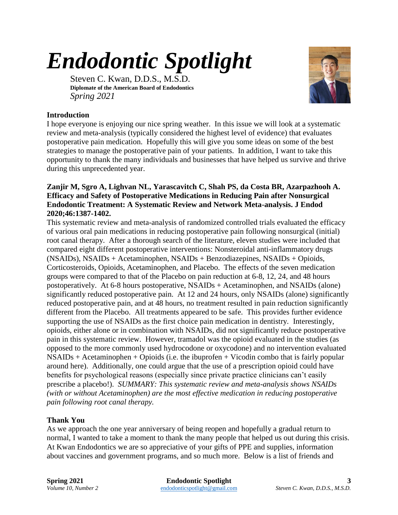## *Endodontic Spotlight*

Steven C. Kwan, D.D.S., M.S.D. **Diplomate of the American Board of Endodontics** *Spring 2021*



## **Introduction**

I hope everyone is enjoying our nice spring weather. In this issue we will look at a systematic review and meta-analysis (typically considered the highest level of evidence) that evaluates postoperative pain medication. Hopefully this will give you some ideas on some of the best strategies to manage the postoperative pain of your patients. In addition, I want to take this opportunity to thank the many individuals and businesses that have helped us survive and thrive during this unprecedented year.

## **Zanjir M, Sgro A, Lighvan NL, Yarascavitch C, Shah PS, da Costa BR, Azarpazhooh A. Efficacy and Safety of Postoperative Medications in Reducing Pain after Nonsurgical Endodontic Treatment: A Systematic Review and Network Meta-analysis. J Endod 2020;46:1387-1402.**

This systematic review and meta-analysis of randomized controlled trials evaluated the efficacy of various oral pain medications in reducing postoperative pain following nonsurgical (initial) root canal therapy. After a thorough search of the literature, eleven studies were included that compared eight different postoperative interventions: Nonsteroidal anti-inflammatory drugs (NSAIDs), NSAIDs + Acetaminophen, NSAIDs + Benzodiazepines, NSAIDs + Opioids, Corticosteroids, Opioids, Acetaminophen, and Placebo. The effects of the seven medication groups were compared to that of the Placebo on pain reduction at 6-8, 12, 24, and 48 hours postoperatively. At 6-8 hours postoperative, NSAIDs + Acetaminophen, and NSAIDs (alone) significantly reduced postoperative pain. At 12 and 24 hours, only NSAIDs (alone) significantly reduced postoperative pain, and at 48 hours, no treatment resulted in pain reduction significantly different from the Placebo. All treatments appeared to be safe. This provides further evidence supporting the use of NSAIDs as the first choice pain medication in dentistry. Interestingly, opioids, either alone or in combination with NSAIDs, did not significantly reduce postoperative pain in this systematic review. However, tramadol was the opioid evaluated in the studies (as opposed to the more commonly used hydrocodone or oxycodone) and no intervention evaluated NSAIDs + Acetaminophen + Opioids (i.e. the ibuprofen + Vicodin combo that is fairly popular around here). Additionally, one could argue that the use of a prescription opioid could have benefits for psychological reasons (especially since private practice clinicians can't easily prescribe a placebo!). *SUMMARY: This systematic review and meta-analysis shows NSAIDs (with or without Acetaminophen) are the most effective medication in reducing postoperative pain following root canal therapy.*

## **Thank You**

As we approach the one year anniversary of being reopen and hopefully a gradual return to normal, I wanted to take a moment to thank the many people that helped us out during this crisis. At Kwan Endodontics we are so appreciative of your gifts of PPE and supplies, information about vaccines and government programs, and so much more. Below is a list of friends and